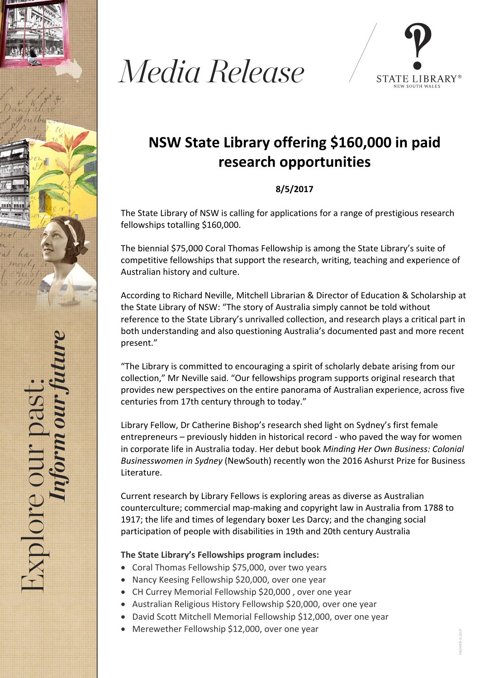





## **NSW State Library offering \$160,000 in paid research opportunities**

## **8/5/2017**

The State Library of NSW is calling for applications for a range of prestigious research fellowships totalling \$160,000.

The biennial \$75,000 Coral Thomas Fellowship is among the State Library's suite of competitive fellowships that support the research, writing, teaching and experience of Australian history and culture.

According to Richard Neville, Mitchell Librarian & Director of Education & Scholarship at the State Library of NSW: "The story of Australia simply cannot be told without reference to the State Library's unrivalled collection, and research plays a critical part in both understanding and also questioning Australia's documented past and more recent present."

"The Library is committed to encouraging a spirit of scholarly debate arising from our collection," Mr Neville said. "Our fellowships program supports original research that provides new perspectives on the entire panorama of Australian experience, across five centuries from 17th century through to today."

Library Fellow, Dr Catherine Bishop's research shed light on Sydney's first female entrepreneurs – previously hidden in historical record ‐ who paved the way for women in corporate life in Australia today. Her debut book *Minding Her Own Business: Colonial Businesswomen in Sydney* (NewSouth) recently won the 2016 Ashurst Prize for Business Literature.

Current research by Library Fellows is exploring areas as diverse as Australian counterculture; commercial map‐making and copyright law in Australia from 1788 to 1917; the life and times of legendary boxer Les Darcy; and the changing social participation of people with disabilities in 19th and 20th century Australia

## **The State Library's Fellowships program includes:**

- Coral Thomas Fellowship \$75,000, over two years
- Nancy Keesing Fellowship \$20,000, over one year
- CH Currey Memorial Fellowship \$20,000 , over one year
- Australian Religious History Fellowship \$20,000, over one year
- David Scott Mitchell Memorial Fellowship \$12,000, over one year
- Merewether Fellowship \$12,000, over one year